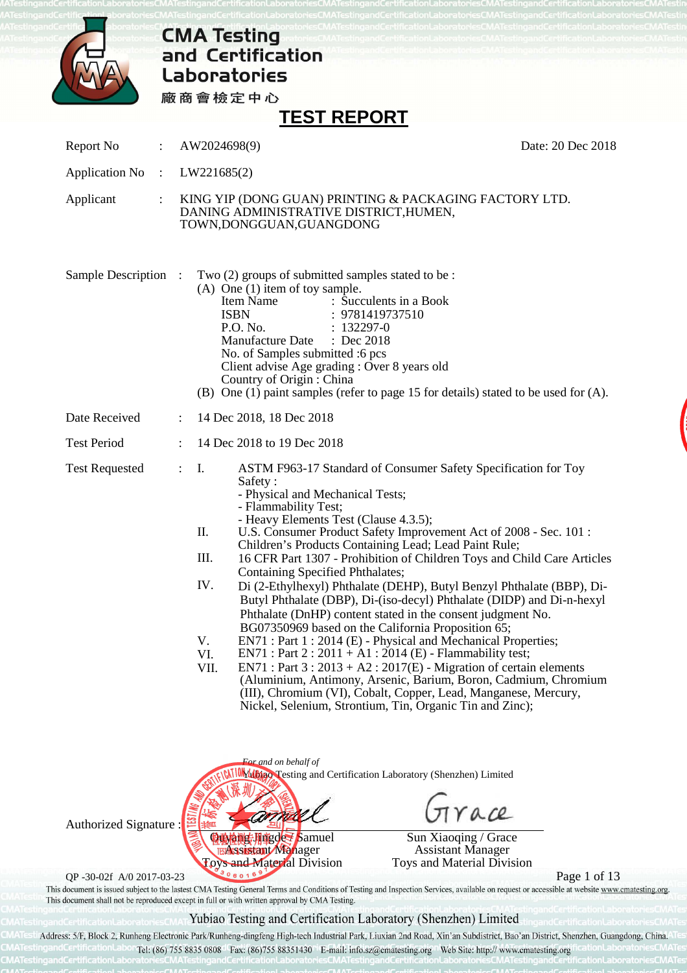

# **CMA Testing<br>and Certification Laboratories**

廠商會檢定中心

## **TEST REPORT**

|                           |                |                                                                | וויש ושוויש.                                                                                                                                                                                                                                                                                                                                                                                                                                                                                                                                                                                                                                                                                                                                                                                                    |                                                                                                                                                                                                                                                                                              |  |  |  |  |
|---------------------------|----------------|----------------------------------------------------------------|-----------------------------------------------------------------------------------------------------------------------------------------------------------------------------------------------------------------------------------------------------------------------------------------------------------------------------------------------------------------------------------------------------------------------------------------------------------------------------------------------------------------------------------------------------------------------------------------------------------------------------------------------------------------------------------------------------------------------------------------------------------------------------------------------------------------|----------------------------------------------------------------------------------------------------------------------------------------------------------------------------------------------------------------------------------------------------------------------------------------------|--|--|--|--|
| Report No                 | $\ddot{\cdot}$ | AW2024698(9)                                                   |                                                                                                                                                                                                                                                                                                                                                                                                                                                                                                                                                                                                                                                                                                                                                                                                                 | Date: 20 Dec 2018                                                                                                                                                                                                                                                                            |  |  |  |  |
| <b>Application No</b>     | $\div$         |                                                                | LW221685(2)                                                                                                                                                                                                                                                                                                                                                                                                                                                                                                                                                                                                                                                                                                                                                                                                     |                                                                                                                                                                                                                                                                                              |  |  |  |  |
| Applicant                 | :              |                                                                | KING YIP (DONG GUAN) PRINTING & PACKAGING FACTORY LTD.<br>DANING ADMINISTRATIVE DISTRICT, HUMEN,<br>TOWN, DONGGUAN, GUANGDONG                                                                                                                                                                                                                                                                                                                                                                                                                                                                                                                                                                                                                                                                                   |                                                                                                                                                                                                                                                                                              |  |  |  |  |
| <b>Sample Description</b> |                |                                                                | Two (2) groups of submitted samples stated to be :<br>$(A)$ One $(1)$ item of toy sample.<br>: Succulents in a Book<br>Item Name<br><b>ISBN</b><br>: 9781419737510<br>P.O. No.<br>$: 132297 - 0$<br>Manufacture Date<br>$\therefore$ Dec 2018<br>No. of Samples submitted :6 pcs<br>Client advise Age grading : Over 8 years old<br>Country of Origin: China                                                                                                                                                                                                                                                                                                                                                                                                                                                    | (B) One (1) paint samples (refer to page 15 for details) stated to be used for (A).                                                                                                                                                                                                          |  |  |  |  |
| Date Received             |                | $\ddot{\cdot}$                                                 | 14 Dec 2018, 18 Dec 2018                                                                                                                                                                                                                                                                                                                                                                                                                                                                                                                                                                                                                                                                                                                                                                                        |                                                                                                                                                                                                                                                                                              |  |  |  |  |
| <b>Test Period</b>        |                |                                                                | 14 Dec 2018 to 19 Dec 2018                                                                                                                                                                                                                                                                                                                                                                                                                                                                                                                                                                                                                                                                                                                                                                                      |                                                                                                                                                                                                                                                                                              |  |  |  |  |
| <b>Test Requested</b>     |                | I.<br>$\ddot{\cdot}$<br>П.<br>III.<br>IV.<br>V.<br>VI.<br>VII. | ASTM F963-17 Standard of Consumer Safety Specification for Toy<br>Safety:<br>- Physical and Mechanical Tests;<br>- Flammability Test;<br>- Heavy Elements Test (Clause 4.3.5);<br>U.S. Consumer Product Safety Improvement Act of 2008 - Sec. 101 :<br>Children's Products Containing Lead; Lead Paint Rule;<br><b>Containing Specified Phthalates;</b><br>Phthalate (DnHP) content stated in the consent judgment No.<br>BG07350969 based on the California Proposition 65;<br>EN71 : Part 1 : 2014 (E) - Physical and Mechanical Properties;<br>$EN71: Part 2: 2011 + A1: 2014 (E) - Flammability test;$<br>$EN71: Part 3: 2013 + A2: 2017(E)$ - Migration of certain elements<br>(III), Chromium (VI), Cobalt, Copper, Lead, Manganese, Mercury,<br>Nickel, Selenium, Strontium, Tin, Organic Tin and Zinc); | 16 CFR Part 1307 - Prohibition of Children Toys and Child Care Articles<br>Di (2-Ethylhexyl) Phthalate (DEHP), Butyl Benzyl Phthalate (BBP), Di-<br>Butyl Phthalate (DBP), Di-(iso-decyl) Phthalate (DIDP) and Di-n-hexyl<br>(Aluminium, Antimony, Arsenic, Barium, Boron, Cadmium, Chromium |  |  |  |  |



QP -30-02f A/0 2017-03-23<br>This document is issued subject to the lastest CMA Testing General Terms and Conditions of Testing and Inspection Services, available on request or accessible at website www.cmatesting.org. This document shall not be reproduced except in full or with written approval by CMA Testing.

## Yubiao Testing and Certification Laboratory (Shenzhen) Limited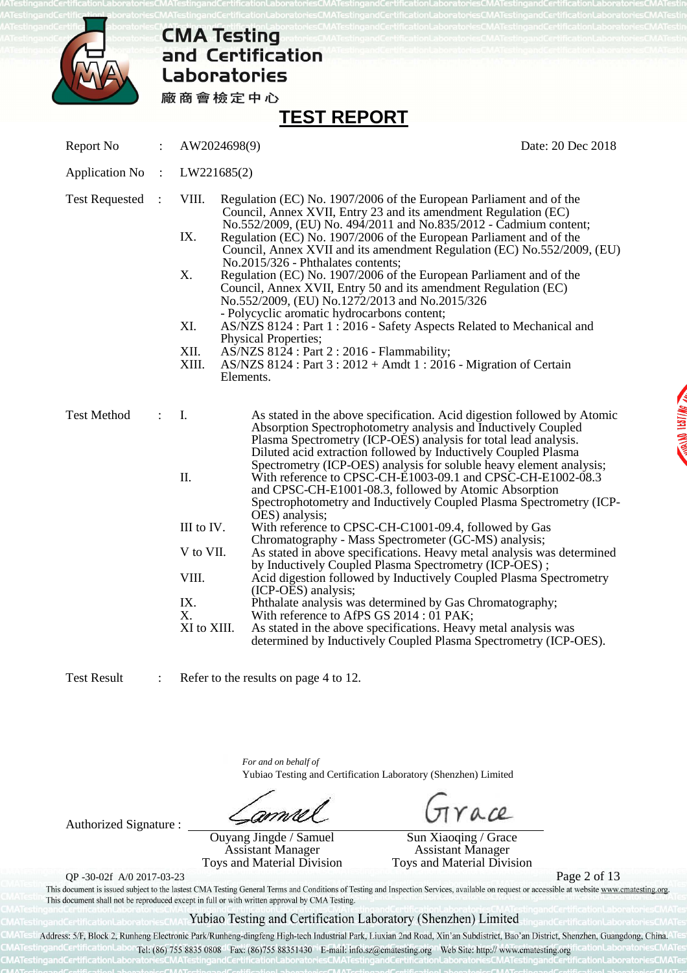

## **TEST REPORT**

Report No : AW2024698(9) Date: 20 Dec 2018

- Application No : LW221685(2)
- 
- Test Requested : VIII. Regulation (EC) No. 1907/2006 of the European Parliament and of the Council, Annex XVII, Entry 23 and its amendment Regulation (EC) No.552/2009, (EU) No. 494/2011 and No.835/2012 - Cadmium content; IX. Regulation (EC) No. 1907/2006 of the European Parliament and of the
	- Council, Annex XVII and its amendment Regulation (EC) No.552/2009, (EU) No.2015/326 - Phthalates contents; X. Regulation (EC) No. 1907/2006 of the European Parliament and of the Council, Annex XVII, Entry 50 and its amendment Regulation (EC)
		- No.552/2009, (EU) No.1272/2013 and No.2015/326 - Polycyclic aromatic hydrocarbons content;
	- XI. AS/NZS 8124 : Part 1 : 2016 Safety Aspects Related to Mechanical and Physical Properties;
	- XII. AS/NZS 8124 : Part 2 : 2016 Flammability;<br>XIII. AS/NZS 8124 : Part 3 : 2012 + Amdt 1 : 2016
	- AS/NZS 8124 : Part 3 : 2012 + Amdt 1 : 2016 Migration of Certain Elements.

| <b>Test Method</b> |             | As stated in the above specification. Acid digestion followed by Atomic |
|--------------------|-------------|-------------------------------------------------------------------------|
|                    |             | Absorption Spectrophotometry analysis and Inductively Coupled           |
|                    |             | Plasma Spectrometry (ICP-OES) analysis for total lead analysis.         |
|                    |             | Diluted acid extraction followed by Inductively Coupled Plasma          |
|                    |             | Spectrometry (ICP-OES) analysis for soluble heavy element analysis;     |
|                    | П.          | With reference to CPSC-CH-E1003-09.1 and CPSC-CH-E1002-08.3             |
|                    |             | and CPSC-CH-E1001-08.3, followed by Atomic Absorption                   |
|                    |             | Spectrophotometry and Inductively Coupled Plasma Spectrometry (ICP-     |
|                    |             | OES) analysis;                                                          |
|                    | III to IV.  | With reference to CPSC-CH-C1001-09.4, followed by Gas                   |
|                    |             | Chromatography - Mass Spectrometer (GC-MS) analysis;                    |
|                    | V to VII.   | As stated in above specifications. Heavy metal analysis was determined  |
|                    |             | by Inductively Coupled Plasma Spectrometry (ICP-OES);                   |
|                    | VIII.       | Acid digestion followed by Inductively Coupled Plasma Spectrometry      |
|                    |             | (ICP-OES) analysis;                                                     |
|                    | IX.         | Phthalate analysis was determined by Gas Chromatography;                |
|                    | X.          | With reference to AfPS GS 2014 : 01 PAK;                                |
|                    | XI to XIII. | As stated in the above specifications. Heavy metal analysis was         |
|                    |             | determined by Inductively Coupled Plasma Spectrometry (ICP-OES).        |

Test Result : Refer to the results on page 4 to 12.

*For and on behalf of* Yubiao Testing and Certification Laboratory (Shenzhen) Limited

Authorized Signature :

Ouyang Jingde / Samuel Assistant Manager Toys and Material Division

ace Sun Xiaoqing / Grace

Assistant Manager Toys and Material Division

QP -30-02f A/0 2017-03-23<br>This document is issued subject to the lastest CMA Testing General Terms and Conditions of Testing and Inspection Services, available on request or accessible at website www.cmatesting.org. This document shall not be reproduced except in full or with written approval by CMA Testing.

### Yubiao Testing and Certification Laboratory (Shenzhen) Limited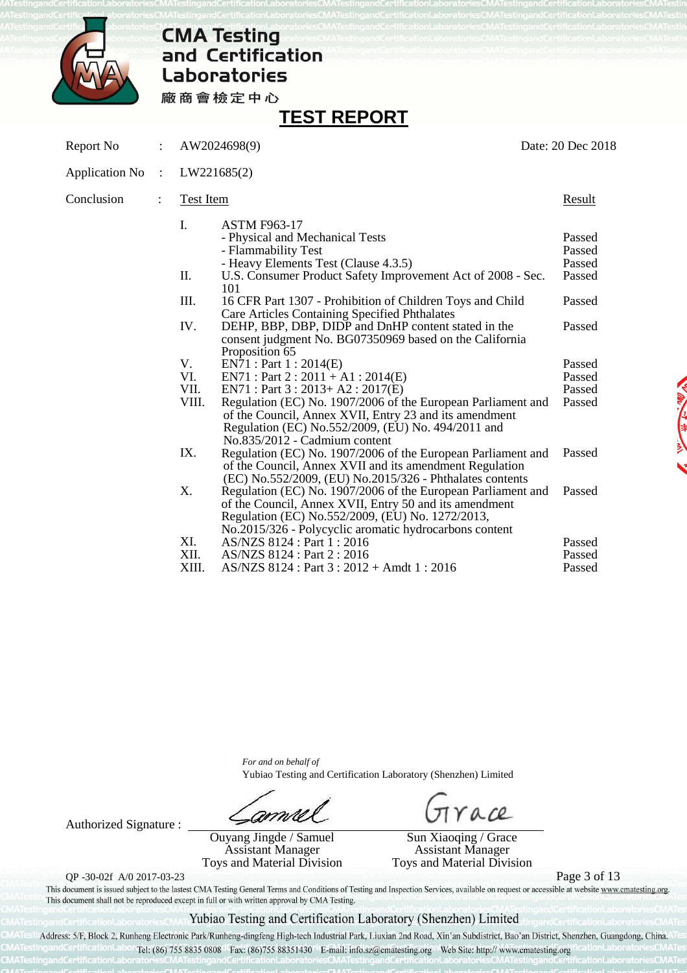

# **CMA Testing<br>and Certification Laboratories**

廠商會檢定中心

## **TEST REPORT**

| Report No             | $\ddot{\phantom{0}}$ |                  | AW2024698(9)                                                                                                                                                                                                                         | Date: 20 Dec 2018                    |  |
|-----------------------|----------------------|------------------|--------------------------------------------------------------------------------------------------------------------------------------------------------------------------------------------------------------------------------------|--------------------------------------|--|
| <b>Application No</b> | $\ddot{\cdot}$       |                  | LW221685(2)                                                                                                                                                                                                                          |                                      |  |
| Conclusion            |                      | <b>Test Item</b> |                                                                                                                                                                                                                                      | <b>Result</b>                        |  |
|                       |                      | I.<br>П.         | <b>ASTM F963-17</b><br>- Physical and Mechanical Tests<br>- Flammability Test<br>- Heavy Elements Test (Clause 4.3.5)<br>U.S. Consumer Product Safety Improvement Act of 2008 - Sec.                                                 | Passed<br>Passed<br>Passed<br>Passed |  |
|                       |                      | III.             | 101<br>16 CFR Part 1307 - Prohibition of Children Toys and Child<br><b>Care Articles Containing Specified Phthalates</b>                                                                                                             | Passed                               |  |
|                       |                      | IV.              | DEHP, BBP, DBP, DIDP and DnHP content stated in the<br>consent judgment No. BG07350969 based on the California                                                                                                                       | Passed                               |  |
|                       |                      | V.               | Proposition 65<br>EN71 : Part 1 : 2014(E)                                                                                                                                                                                            | Passed                               |  |
|                       |                      | VI.              | $EN71: Part 2: 2011 + A1: 2014(E)$                                                                                                                                                                                                   | Passed                               |  |
|                       |                      | VII.             | $EN71: Part 3: 2013+ A2: 2017(E)$                                                                                                                                                                                                    | Passed                               |  |
|                       |                      | VIII.            | Regulation (EC) No. 1907/2006 of the European Parliament and<br>of the Council, Annex XVII, Entry 23 and its amendment<br>Regulation (EC) No.552/2009, (EU) No. 494/2011 and<br>No.835/2012 - Cadmium content                        | Passed                               |  |
|                       |                      | IX.              | Regulation (EC) No. 1907/2006 of the European Parliament and<br>of the Council, Annex XVII and its amendment Regulation<br>(EC) No.552/2009, (EU) No.2015/326 - Phthalates contents                                                  | Passed                               |  |
|                       |                      | X.               | Regulation (EC) No. 1907/2006 of the European Parliament and<br>of the Council, Annex XVII, Entry 50 and its amendment<br>Regulation (EC) No.552/2009, (EU) No. 1272/2013,<br>No.2015/326 - Polycyclic aromatic hydrocarbons content | Passed                               |  |
|                       |                      | XI.              | AS/NZS 8124 : Part 1 : 2016                                                                                                                                                                                                          | Passed                               |  |
|                       |                      | XII.             | AS/NZS 8124 : Part 2 : 2016                                                                                                                                                                                                          | Passed                               |  |
|                       |                      | XIII.            | AS/NZS 8124 : Part 3 : 2012 + Amdt 1 : 2016                                                                                                                                                                                          | Passed                               |  |

*For and on behalf of* Yubiao Testing and Certification Laboratory (Shenzhen) Limited

amn

Authorized Signature : Ouyang Jingde / Samuel Assistant Manager Toys and Material Division

ace

Sun Xiaoqing / Grace Assistant Manager Toys and Material Division

QP -30-02f A/0 2017-03-23<br>This document is issued subject to the lastest CMA Testing General Terms and Conditions of Testing and Inspection Services, available on request or accessible at website www.cmatesting.org. This document shall not be reproduced except in full or with written approval by CMA Testing.

## Yubiao Testing and Certification Laboratory (Shenzhen) Limited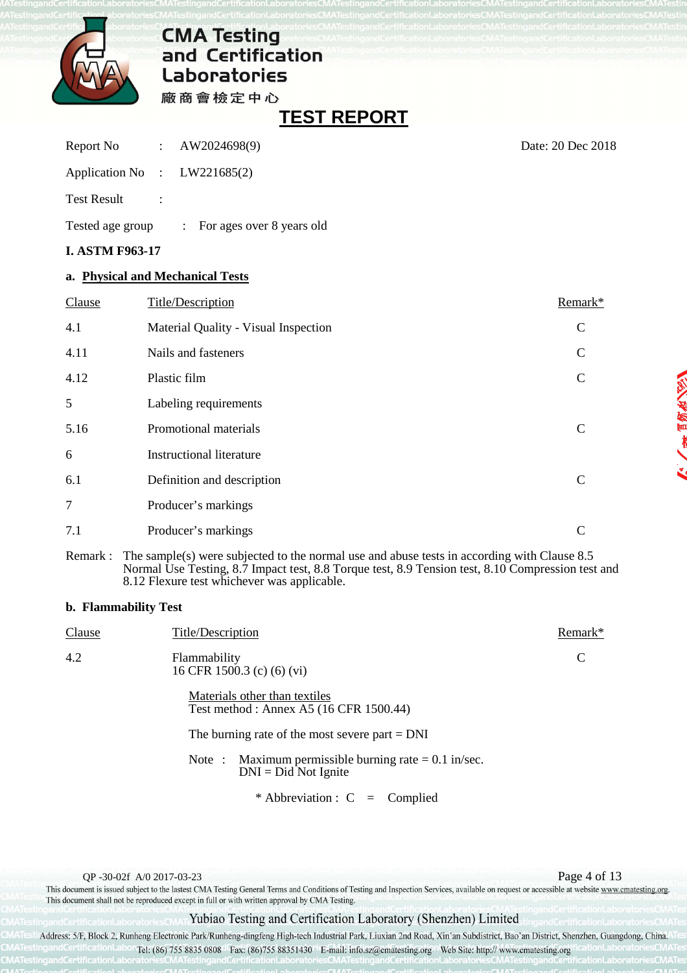

**TEST REPORT** 

| <b>I. ASTM F963-17</b>         |                                        |
|--------------------------------|----------------------------------------|
| Tested age group               | $\therefore$ For ages over 8 years old |
| <b>Test Result</b>             |                                        |
| Application No : $LW221685(2)$ |                                        |
| Report No : AW2024698(9)       |                                        |

## **a. Physical and Mechanical Tests**

| Clause | Title/Description                    | Remark*      |
|--------|--------------------------------------|--------------|
| 4.1    | Material Quality - Visual Inspection | $\mathbf C$  |
| 4.11   | Nails and fasteners                  | $\mathsf{C}$ |
| 4.12   | Plastic film                         | $\mathsf{C}$ |
| 5      | Labeling requirements                |              |
| 5.16   | Promotional materials                | C            |
| 6      | <b>Instructional literature</b>      |              |
| 6.1    | Definition and description           | C            |
| $\tau$ | Producer's markings                  |              |
| 7.1    | Producer's markings                  | C            |

Remark : The sample(s) were subjected to the normal use and abuse tests in according with Clause 8.5 Normal Use Testing, 8.7 Impact test, 8.8 Torque test, 8.9 Tension test, 8.10 Compression test and 8.12 Flexure test whichever was applicable.

### **b. Flammability Test**

| <b>Clause</b> | <b>Title/Description</b>                                                         | Remark* |
|---------------|----------------------------------------------------------------------------------|---------|
| 4.2           | Flammability<br>16 CFR 1500.3 (c) (6) (vi)                                       | C       |
|               | Materials other than textiles<br>Test method: Annex A5 (16 CFR 1500.44)          |         |
|               | The burning rate of the most severe part $=$ DNI                                 |         |
|               | Note: Maximum permissible burning rate $= 0.1$ in/sec.<br>$DNI = Did Not Ignite$ |         |
|               | * Abbreviation : $C =$ Complied                                                  |         |

QP -30-02f A/0 2017-03-23<br>This document is issued subject to the lastest CMA Testing General Terms and Conditions of Testing and Inspection Services, available on request or accessible at website www.cmatesting.org. This document shall not be reproduced except in full or with written approval by CMA Testing.

### Yubiao Testing and Certification Laboratory (Shenzhen) Limited

Address: 5/F, Block 2, Runheng Electronic Park/Runheng-dingfeng High-tech Industrial Park, Liuxian 2nd Road, Xin'an Subdistrict, Bao'an District, Shenzhen, Guangdong, China. Tel: (86) 755 8835 0808 Fax: (86) 755 88351430 E-mail: info.sz@ematesting.org Web Site: http:// www.cmatesting.org

Date: 20 Dec 2018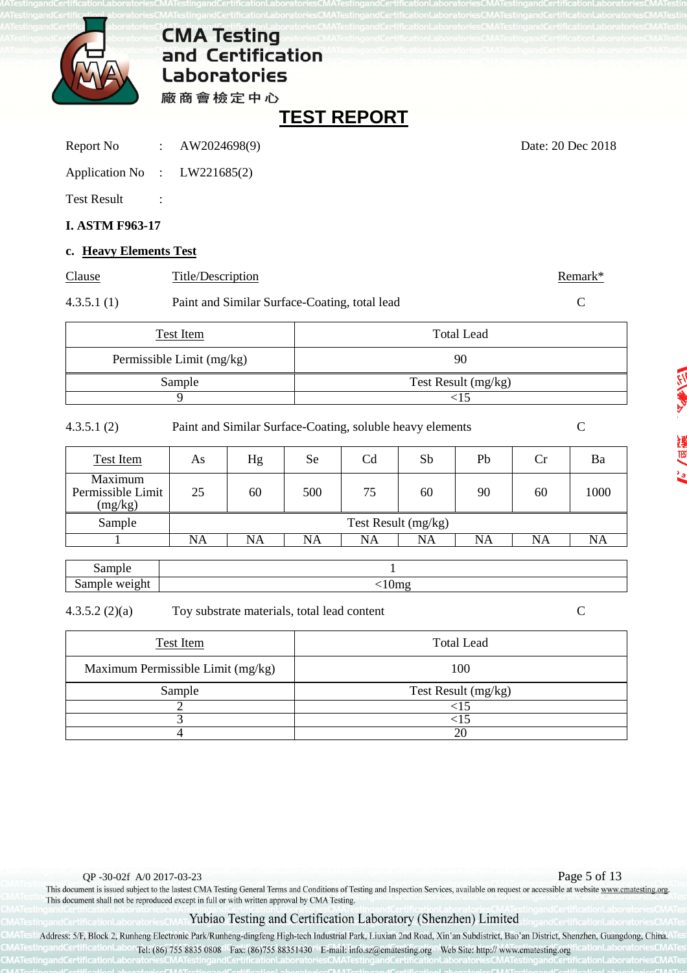

## **TEST REPORT**

| Report No |  | AW2024698(9) |
|-----------|--|--------------|
|-----------|--|--------------|

Date: 20 Dec 2018

| <b>Application No</b> | LW221685(2) |
|-----------------------|-------------|
|-----------------------|-------------|

Test Result :

## **I. ASTM F963-17**

## **c. Heavy Elements Test**

| Clause     | Title/Description                             | Remark* |
|------------|-----------------------------------------------|---------|
| 4.3.5.1(1) | Paint and Similar Surface-Coating, total lead |         |

| Test Item                 | Total Lead          |
|---------------------------|---------------------|
| Permissible Limit (mg/kg) | 90                  |
| Sample                    | Test Result (mg/kg) |
|                           |                     |

4.3.5.1 (2) Paint and Similar Surface-Coating, soluble heavy elements C

| Test Item                               | As | Hg | <b>Se</b> | C <sub>d</sub>      | Sb | Pb | <b>Cr</b> | Ba   |
|-----------------------------------------|----|----|-----------|---------------------|----|----|-----------|------|
| Maximum<br>Permissible Limit<br>(mg/kg) | 25 | 60 | 500       | 75                  | 60 | 90 | 60        | 1000 |
| Sample                                  |    |    |           | Test Result (mg/kg) |    |    |           |      |
|                                         | NA | NA | NA        | NA                  | NA | NA | NA        | NA   |

| ------<br>14               |         |
|----------------------------|---------|
| -<br>Dui-<br><br>--<br>. . | $\cdot$ |

4.3.5.2 (2)(a) Toy substrate materials, total lead content C

| Test Item                         | <b>Total Lead</b>   |
|-----------------------------------|---------------------|
| Maximum Permissible Limit (mg/kg) | 100                 |
| Sample                            | Test Result (mg/kg) |
|                                   |                     |
|                                   |                     |
|                                   |                     |

## Yubiao Testing and Certification Laboratory (Shenzhen) Limited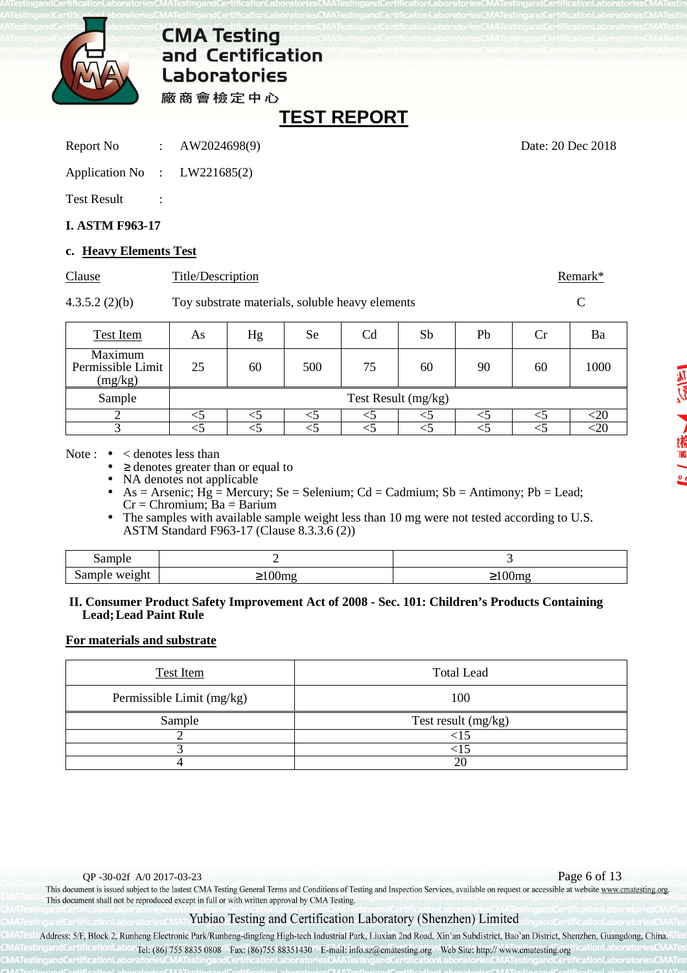

廠商會檢定中心

## **TEST REPORT**

Report No : AW2024698(9) Date: 20 Dec 2018

| <b>Application No</b> | LW221685(2) |
|-----------------------|-------------|
|                       |             |

Test Result :

## **I. ASTM F963-17**

## **c. Heavy Elements Test**

| Clause | Title/Description | Remark* |
|--------|-------------------|---------|
|        |                   |         |

4.3.5.2 (2)(b) Toy substrate materials, soluble heavy elements C

| <b>Test Item</b>                        | As                  | Hg | Se  | Cd | Sb | Pb | Сr | Ba   |  |
|-----------------------------------------|---------------------|----|-----|----|----|----|----|------|--|
| Maximum<br>Permissible Limit<br>(mg/kg) | 25                  | 60 | 500 | 75 | 60 | 90 | 60 | 1000 |  |
| Sample                                  | Test Result (mg/kg) |    |     |    |    |    |    |      |  |
|                                         |                     |    |     |    |    |    |    | ΩU   |  |
|                                         |                     |    |     |    |    |    |    | ΩU   |  |

Note :  $\bullet \leq$  denotes less than

 $\geq$  denotes greater than or equal to

NA denotes not applicable

• As = Arsenic;  $Hg =$  Mercury; Se = Selenium; Cd = Cadmium; Sb = Antimony; Pb = Lead;  $Cr =$ Chromium; Ba = Barium

The samples with available sample weight less than 10 mg were not tested according to U.S. ASTM Standard F963-17 (Clause 8.3.3.6 (2))

| ാന്നവം<br>Dall.  |                                             |                   |
|------------------|---------------------------------------------|-------------------|
| sample<br>weight | $-1$<br>$\overline{\phantom{a}}$<br>$\cdot$ | <u>vome</u><br>-- |

### **II. Consumer Product Safety Improvement Act of 2008 - Sec. 101: Children's Products Containing Lead; Lead Paint Rule**

## **For materials and substrate**

| <b>Test Item</b>          | <b>Total Lead</b>   |
|---------------------------|---------------------|
| Permissible Limit (mg/kg) | 100                 |
| Sample                    | Test result (mg/kg) |
|                           |                     |
|                           |                     |
|                           | 2(                  |

QP -30-02f A/0 2017-03-23<br>This document is issued subject to the lastest CMA Testing General Terms and Conditions of Testing and Inspection Services, available on request or accessible at website www.cmatesting.org. This document shall not be reproduced except in full or with written approval by CMA Testing.

## Yubiao Testing and Certification Laboratory (Shenzhen) Limited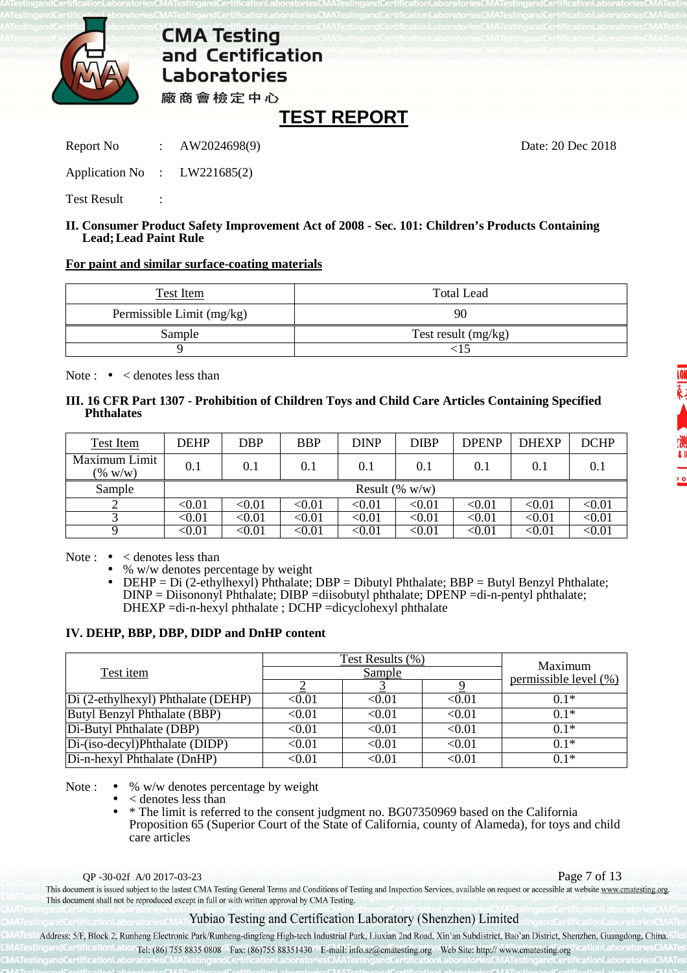

## **TEST REPORT**

Report No : AW2024698(9) Date: 20 Dec 2018

Application No : LW221685(2)

Test Result :

### **II. Consumer Product Safety Improvement Act of 2008 - Sec. 101: Children's Products Containing Lead; Lead Paint Rule**

## **For paint and similar surface-coating materials**

| Test Item                 | <b>Total Lead</b>     |
|---------------------------|-----------------------|
| Permissible Limit (mg/kg) | 90                    |
| Sample                    | Test result $(mg/kg)$ |
|                           |                       |

Note :  $\bullet \leq$  denotes less than

## **III. 16 CFR Part 1307 - Prohibition of Children Toys and Child Care Articles Containing Specified Phthalates**

| Test Item                   | <b>DEHP</b>             | <b>DBP</b>        | <b>BBP</b>    | <b>DINP</b>             | <b>DIBP</b>   | <b>DPENP</b>  | <b>DHEXP</b>  | <b>DCHP</b>   |  |
|-----------------------------|-------------------------|-------------------|---------------|-------------------------|---------------|---------------|---------------|---------------|--|
| Maximum Limit<br>$(\% w/w)$ | 0.1                     | 0.1               | 0.1           | 0.1                     | 0.1           | 0.1           | 0.1           | 0.1           |  |
| Sample                      |                         | Result $(\% w/w)$ |               |                         |               |               |               |               |  |
|                             | $< \hspace{-0.2em}0.01$ | < 0.01            | $<$ 0.01      | < 0.01                  | < 0.01        | $< \!\! 0.01$ | < 0.01        | < 0.01        |  |
|                             | $< \hspace{-0.2em}0.01$ | < 0.01            | $< \!\! 0.01$ | < 0.01                  | $< \!\! 0.01$ | $<$ 0.01      | < 0.01        | < 0.01        |  |
| Q                           | $<\!\!0.01$             | $< \!\! 0.01$     | < 0.01        | $< \hspace{-0.2em}0.01$ | $< \!\! 0.01$ | $< \!\! 0.01$ | $< \!\! 0.01$ | $<$ 0.01 $\,$ |  |

Note :  $\bullet \leq$  denotes less than

• % w/w denotes percentage by weight

• DEHP = Di (2-ethylhexyl) Phthalate; DBP = Dibutyl Phthalate; BBP = Butyl Benzyl Phthalate; DINP = Diisononyl Phthalate; DIBP =diisobutyl phthalate; DPENP =di-n-pentyl phthalate; DHEXP =di-n-hexyl phthalate ; DCHP =dicyclohexyl phthalate

## **IV. DEHP, BBP, DBP, DIDP and DnHP content**

| Test item                          |                         | Test Results (%)<br><b>Sample</b> | Maximum<br>permissible level (%) |        |
|------------------------------------|-------------------------|-----------------------------------|----------------------------------|--------|
|                                    |                         |                                   |                                  |        |
| Di (2-ethylhexyl) Phthalate (DEHP) | <0.01                   | < 0.01                            | < 0.01                           | $0.1*$ |
| Butyl Benzyl Phthalate (BBP)       | < 0.01                  | < 0.01                            | < 0.01                           | $0.1*$ |
| Di-Butyl Phthalate (DBP)           | < 0.01                  | < 0.01                            | < 0.01                           | $0.1*$ |
| Di-(iso-decyl)Phthalate (DIDP)     | $< \!\! 0.01$           | < 0.01                            | < 0.01                           | $0.1*$ |
| Di-n-hexyl Phthalate (DnHP)        | $< \hspace{-0.2em}0.01$ | $< \hspace{-0.2em}0.01$           | < 0.01                           | $0.1*$ |

Note :  $\bullet$  % w/w denotes percentage by weight

 $\epsilon$  denotes less than

• \* The limit is referred to the consent judgment no. BG07350969 based on the California Proposition 65 (Superior Court of the State of California, county of Alameda), for toys and child care articles

QP -30-02f A/0 2017-03-23<br>This document is issued subject to the lastest CMA Testing General Terms and Conditions of Testing and Inspection Services, available on request or accessible at website www.cmatesting.org. This document shall not be reproduced except in full or with written approval by CMA Testing.

## Yubiao Testing and Certification Laboratory (Shenzhen) Limited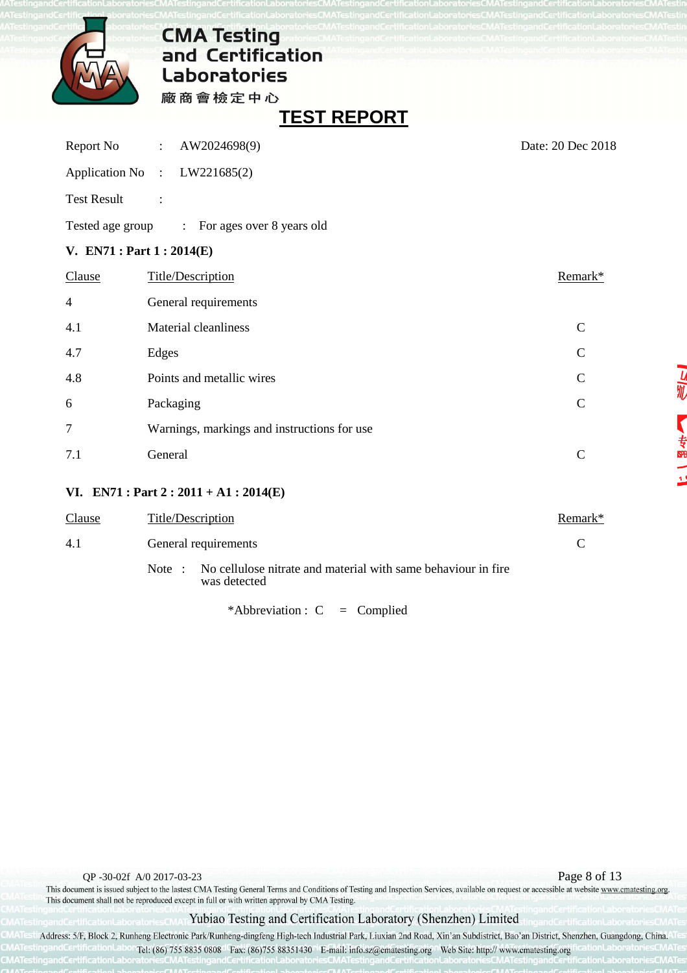

**TEST REPORT** 

| Report No                  | AW2024698(9)<br>$\sim 10^{11}$ MeV $_\odot$ | Date: 20 Dec 2018 |
|----------------------------|---------------------------------------------|-------------------|
|                            | Application No : LW221685(2)                |                   |
| <b>Test Result</b>         | $\ddot{\cdot}$                              |                   |
| Tested age group           | : For ages over 8 years old                 |                   |
| V. $EN71: Part 1: 2014(E)$ |                                             |                   |
| Clause                     | <b>Title/Description</b>                    | Remark*           |
| 4                          | General requirements                        |                   |
| 4.1                        | Material cleanliness                        | $\mathbf C$       |
| 4.7                        | Edges                                       | $\mathcal{C}$     |
| 4.8                        | Points and metallic wires                   | $\mathbf C$       |
| 6                          | Packaging                                   | $\overline{C}$    |
| 7                          | Warnings, markings and instructions for use |                   |
| 7.1                        | General                                     | $\mathcal{C}$     |
|                            |                                             |                   |

## **VI. EN71 : Part 2 : 2011 + A1 : 2014(E)**

| Clause | Title/Description                                                                       | Remark* |
|--------|-----------------------------------------------------------------------------------------|---------|
| 4.1    | General requirements                                                                    |         |
|        | No cellulose nitrate and material with same behaviour in fire<br>Note :<br>was detected |         |

\*Abbreviation :  $C =$  Complied

QP -30-02f A/0 2017-03-23<br>This document is issued subject to the lastest CMA Testing General Terms and Conditions of Testing and Inspection Services, available on request or accessible at website www.cmatesting.org. This document shall not be reproduced except in full or with written approval by CMA Testing.

## Yubiao Testing and Certification Laboratory (Shenzhen) Limited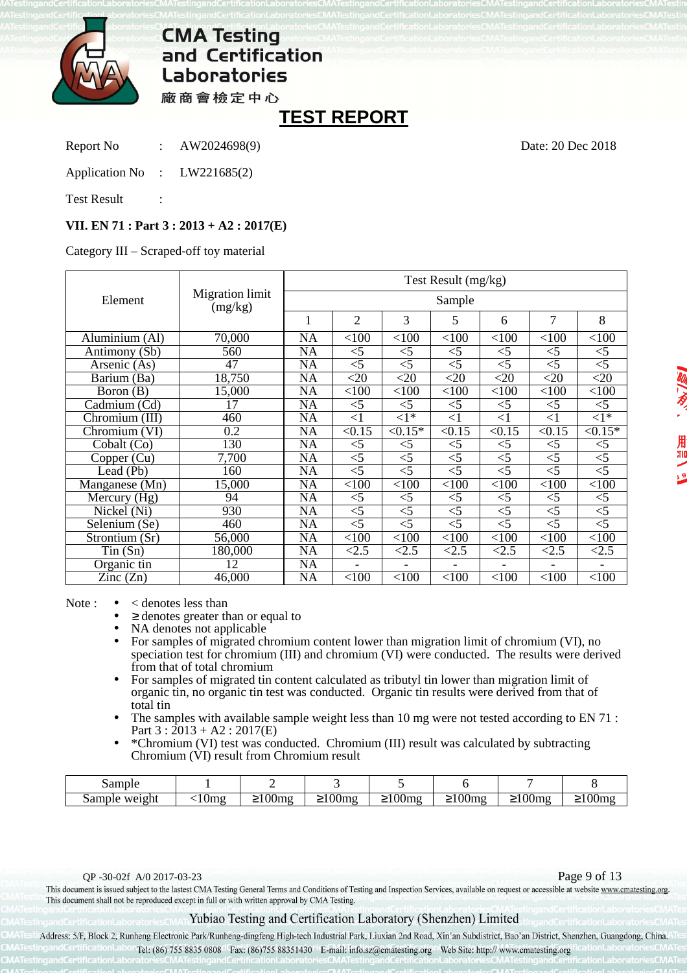

## **TEST REPORT**

Report No : AW2024698(9) Date: 20 Dec 2018

Application No : LW221685(2)

Test Result

## **VII. EN 71 : Part 3 : 2013 + A2 : 2017(E)**

Category III – Scraped-off toy material

| Element                           | Migration limit<br>(mg/kg) | Test Result (mg/kg) |                |                |                |                |                |                          |  |
|-----------------------------------|----------------------------|---------------------|----------------|----------------|----------------|----------------|----------------|--------------------------|--|
|                                   |                            | Sample              |                |                |                |                |                |                          |  |
|                                   |                            | 1                   | $\overline{2}$ | 3              | 5              | 6              | 7              | 8                        |  |
| Aluminium (Al)                    | 70,000                     | <b>NA</b>           | < 100          | < 100          | < 100          | < 100          | < 100          | < 100                    |  |
| Antimony (Sb)                     | 560                        | NA                  | $<$ 5          | $<$ 5          | $<$ 5          | $<$ 5          | $<$ 5          | $<$ 5                    |  |
| Arsenic (As)                      | 47                         | <b>NA</b>           | $<$ 5          | $<$ 5          | $<$ 5          | $<$ 5          | $<$ 5          | $\overline{5}$           |  |
| Barium (Ba)                       | 18,750                     | NA                  | $<$ 20         | $<$ 20         | $<$ 20         | $<$ 20         | $<$ 20         | $<$ 20                   |  |
| Boron (B)                         | 15,000                     | <b>NA</b>           | < 100          | < 100          | < 100          | < 100          | < 100          | < 100                    |  |
| Cadmium (Cd)                      | 17                         | <b>NA</b>           | $<$ 5          | $<$ 5          | $<$ 5          | $<$ 5          | $<$ 5          | $<$ 5                    |  |
| Chromium (III)                    | 460                        | <b>NA</b>           | $<$ 1          | $\langle 1^*$  | $<$ 1          | $<$ 1          | $<$ 1          | $\overline{<}1*$         |  |
| Chromium (VI)                     | 0.2                        | <b>NA</b>           | $\sqrt{0.15}$  | $\sqrt{0.15*}$ | $\sqrt{0.15}$  | $\sqrt{0.15}$  | $\sqrt{0.15}$  | $\sqrt{0.15*}$           |  |
| Cobalt (Co)                       | 130                        | $\overline{NA}$     | $<$ 5          | $<$ 5          | $<$ 5          | $<$ 5          | $<$ 5          | $<$ 5                    |  |
| Copper (Cu)                       | 7,700                      | <b>NA</b>           | $<$ 5          | $<$ 5          | $<$ 5          | $\leq 5$       | $<$ 5          | $\overline{5}$           |  |
| Lead (Pb)                         | 160                        | <b>NA</b>           | $\overline{5}$ | $\overline{5}$ | $\overline{5}$ | $\overline{5}$ | $\overline{5}$ | $\overline{5}$           |  |
| Manganese (Mn)                    | 15,000                     | <b>NA</b>           | < 100          | < 100          | < 100          | < 100          | < 100          | < 100                    |  |
| Mercury $(Hg)$                    | 94                         | <b>NA</b>           | $<$ 5          | $<$ 5          | $<$ 5          | $<$ 5          | $<$ 5          | $<$ 5                    |  |
| Nickel (Ni)                       | 930                        | NA                  | $\overline{5}$ | $<$ 5          | $<$ 5          | $<$ 5          | $<$ 5          | $\overline{5}$           |  |
| $\overline{\text{Selenium}}$ (Se) | 460                        | <b>NA</b>           | $\overline{5}$ | $\overline{5}$ | $\overline{5}$ | $\leq 5$       | $\overline{5}$ | $\overline{5}$           |  |
| Strontium (Sr)                    | 56,000                     | <b>NA</b>           | < 100          | < 100          | < 100          | < 100          | < 100          | < 100                    |  |
| Tin(Sn)                           | 180,000                    | $\overline{NA}$     | < 2.5          | < 2.5          | < 2.5          | < 2.5          | < 2.5          | < 2.5                    |  |
| Organic tin                       | 12                         | <b>NA</b>           |                | ۰              | -              | $\blacksquare$ |                | $\overline{\phantom{0}}$ |  |
| $\text{Zinc}(\text{Zn})$          | 46,000                     | <b>NA</b>           | < 100          | < 100          | < 100          | < 100          | < 100          | < 100                    |  |

### Note :  $\bullet \times$  denotes less than

 $\geq$  denotes greater than or equal to

- NA denotes not applicable
- For samples of migrated chromium content lower than migration limit of chromium (VI), no speciation test for chromium (III) and chromium (VI) were conducted. The results were derived from that of total chromium
- For samples of migrated tin content calculated as tributyl tin lower than migration limit of organic tin, no organic tin test was conducted. Organic tin results were derived from that of total tin
- The samples with available sample weight less than 10 mg were not tested according to EN 71 : Part  $3: 2013 + A2: 2017(E)$
- \*Chromium (VI) test was conducted. Chromium (III) result was calculated by subtracting Chromium (VI) result from Chromium result

| .<br>Башріе                               |           |                                   |                                         |                           |                                 |                                       |                  |
|-------------------------------------------|-----------|-----------------------------------|-----------------------------------------|---------------------------|---------------------------------|---------------------------------------|------------------|
| $W$ $A$ $\sigma$ ht<br>лине<br>wa.<br>--- | lm a<br>. | $\Omega$<br>$\sim$<br>ville<br>-- | $\Omega$<br>lm c<br><b>VVIIIE</b><br>-- | $\Omega$<br>$\geq 100$ mg | 00 <sub>me</sub><br>-טווט<br>-- | 1 $\cap$<br>$Im \alpha$<br>$\leq 100$ | 100<br>lm o<br>. |

QP -30-02f A/0 2017-03-23<br>This document is issued subject to the lastest CMA Testing General Terms and Conditions of Testing and Inspection Services, available on request or accessible at website www.cmatesting.org. This document shall not be reproduced except in full or with written approval by CMA Testing.

### Yubiao Testing and Certification Laboratory (Shenzhen) Limited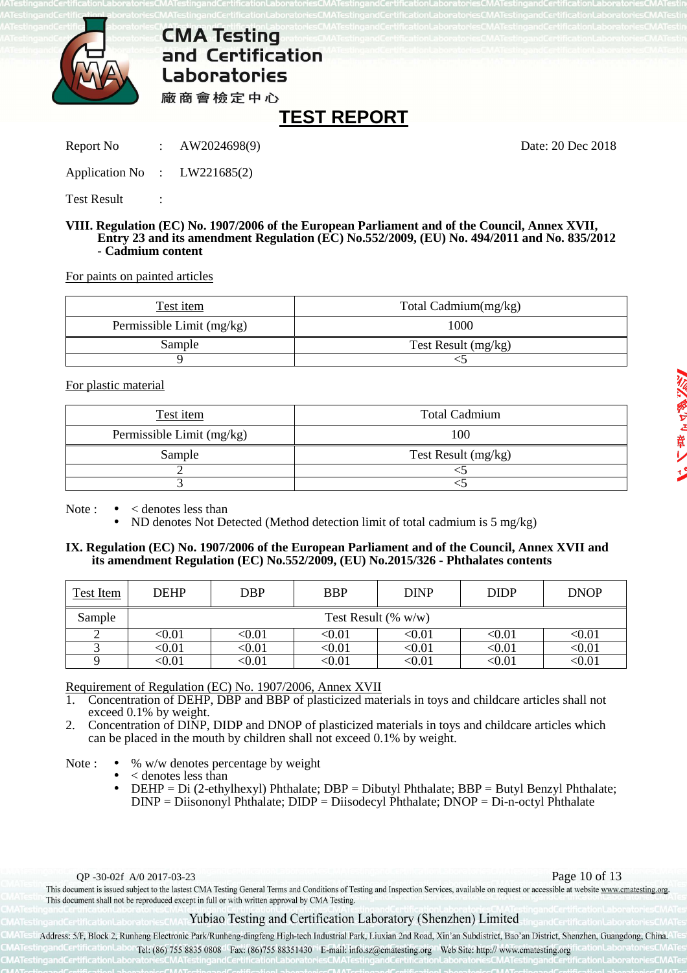

## **TEST REPORT**

Report No : AW2024698(9) Date: 20 Dec 2018

Application No : LW221685(2)

Test Result :

### **VIII. Regulation (EC) No. 1907/2006 of the European Parliament and of the Council, Annex XVII, Entry 23 and its amendment Regulation (EC) No.552/2009, (EU) No. 494/2011 and No. 835/2012 - Cadmium content**

For paints on painted articles

| Test item                 | Total Cadmium(mg/kg)  |
|---------------------------|-----------------------|
| Permissible Limit (mg/kg) | 1000                  |
| Sample                    | Test Result $(mg/kg)$ |
|                           |                       |

For plastic material

| Test item                 | <b>Total Cadmium</b> |
|---------------------------|----------------------|
| Permissible Limit (mg/kg) | 100                  |
| Sample                    | Test Result (mg/kg)  |
|                           |                      |
|                           |                      |

Note :  $\bullet \quad$  < denotes less than

• ND denotes Not Detected (Method detection limit of total cadmium is 5 mg/kg)

### **IX. Regulation (EC) No. 1907/2006 of the European Parliament and of the Council, Annex XVII and its amendment Regulation (EC) No.552/2009, (EU) No.2015/326 - Phthalates contents**

| Test Item | <b>DEHP</b> | <b>DBP</b>             | <b>BBP</b> | <b>DINP</b> | <b>DIDP</b> | <b>DNOP</b> |  |  |  |
|-----------|-------------|------------------------|------------|-------------|-------------|-------------|--|--|--|
| Sample    |             | Test Result $(\% w/w)$ |            |             |             |             |  |  |  |
|           | $0.01$      | <0.01                  | <0.01      | <0.01       | <0.01       | <0.01       |  |  |  |
|           | $<\!\!0.01$ | <0.01                  | <0.01      | $<\!\!0.01$ | $<\!\!0.01$ | <0.01       |  |  |  |
|           | $0.01$      | <0.01                  | <0.01      | <0.01       | <0.01       | $<\!\!0.01$ |  |  |  |

Requirement of Regulation (EC) No. 1907/2006, Annex XVII

1. Concentration of DEHP, DBP and BBP of plasticized materials in toys and childcare articles shall not exceed 0.1% by weight.

2. Concentration of DINP, DIDP and DNOP of plasticized materials in toys and childcare articles which can be placed in the mouth by children shall not exceed 0.1% by weight.

Note :  $\bullet$  % w/w denotes percentage by weight

- < denotes less than
- DEHP = Di (2-ethylhexyl) Phthalate; DBP = Dibutyl Phthalate; BBP = Butyl Benzyl Phthalate; DINP = Diisononyl Phthalate; DIDP = Diisodecyl Phthalate; DNOP = Di-n-octyl Phthalate

QP -30-02f A/0 2017-03-23<br>This document is issued subject to the lastest CMA Testing General Terms and Conditions of Testing and Inspection Services, available on request or accessible at website www.cmatesting.org. This document shall not be reproduced except in full or with written approval by CMA Testing.

### Yubiao Testing and Certification Laboratory (Shenzhen) Limited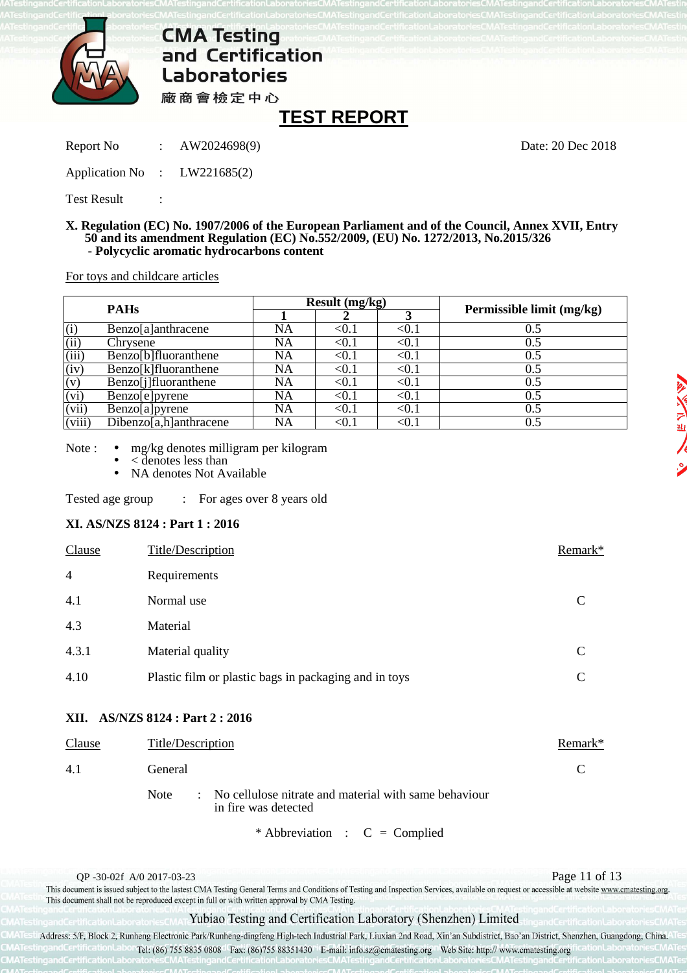

## **TEST REPORT**

Report No : AW2024698(9) Date: 20 Dec 2018

Application No : LW221685(2)

Test Result

### **X. Regulation (EC) No. 1907/2006 of the European Parliament and of the Council, Annex XVII, Entry 50 and its amendment Regulation (EC) No.552/2009, (EU) No. 1272/2013, No.2015/326 - Polycyclic aromatic hydrocarbons content**

For toys and childcare articles

| <b>PAHs</b>                |                        |    | Result (mg/kg)         |                        | Permissible limit (mg/kg) |  |  |
|----------------------------|------------------------|----|------------------------|------------------------|---------------------------|--|--|
|                            |                        |    |                        |                        |                           |  |  |
| (i)                        | Benzo[a]anthracene     | NA | <0.1                   | $< \hspace{-0.2em}0.1$ | 0.5                       |  |  |
| (ii)                       | Chrysene               | NA | $<$ 0.1 $\,$           | $< \!\! 0.1$           | 0.5                       |  |  |
| (iii)                      | Benzo[b]fluoranthene   | NA | $< \hspace{-0.2em}0.1$ | $< \hspace{-0.2em}0.1$ | 0.5                       |  |  |
| (iv)                       | Benzo[k]fluoranthene   | NA | $< \hspace{-0.2em}0.1$ | $< \!\! 0.1$           | 0.5                       |  |  |
| (v)                        | Benzo[j]fluoranthene   | NA | < 0.1                  | $< \hspace{-0.2em}0.1$ | 0.5                       |  |  |
| (vi)                       | Benzo[e]pyrene         | NA | $<$ 0.1 $\,$           | $< \hspace{-0.2em}0.1$ | 0.5                       |  |  |
| (vii)                      | Benzo[a]pyrene         | NA | $< \hspace{-0.2em}0.1$ | $<$ 0.1                | 0.5                       |  |  |
| $\overline{\text{(viii)}}$ | Dibenzo[a,h]anthracene | NA |                        | $< \! 0.1$             | 0.5                       |  |  |

Note : • mg/kg denotes milligram per kilogram

- < denotes less than
- NA denotes Not Available

Tested age group : For ages over 8 years old

### **XI. AS/NZS 8124 : Part 1 : 2016**

| <b>Clause</b>  | Title/Description                                     | Remark* |
|----------------|-------------------------------------------------------|---------|
| $\overline{4}$ | Requirements                                          |         |
| 4.1            | Normal use                                            | C       |
| 4.3            | Material                                              |         |
| 4.3.1          | Material quality                                      | C       |
| 4.10           | Plastic film or plastic bags in packaging and in toys | C       |

### **XII. AS/NZS 8124 : Part 2 : 2016**

| Clause | Title/Description                                                                              | Remark* |
|--------|------------------------------------------------------------------------------------------------|---------|
| 4.1    | General                                                                                        |         |
|        | : No cellulose nitrate and material with same behaviour<br><b>Note</b><br>in fire was detected |         |
|        | * Abbreviation : $C =$ Complied                                                                |         |

QP -30-02f A/0 2017-03-23<br>This document is issued subject to the lastest CMA Testing General Terms and Conditions of Testing and Inspection Services, available on request or accessible at website www.cmatesting.org. This document shall not be reproduced except in full or with written approval by CMA Testing.

### Yubiao Testing and Certification Laboratory (Shenzhen) Limited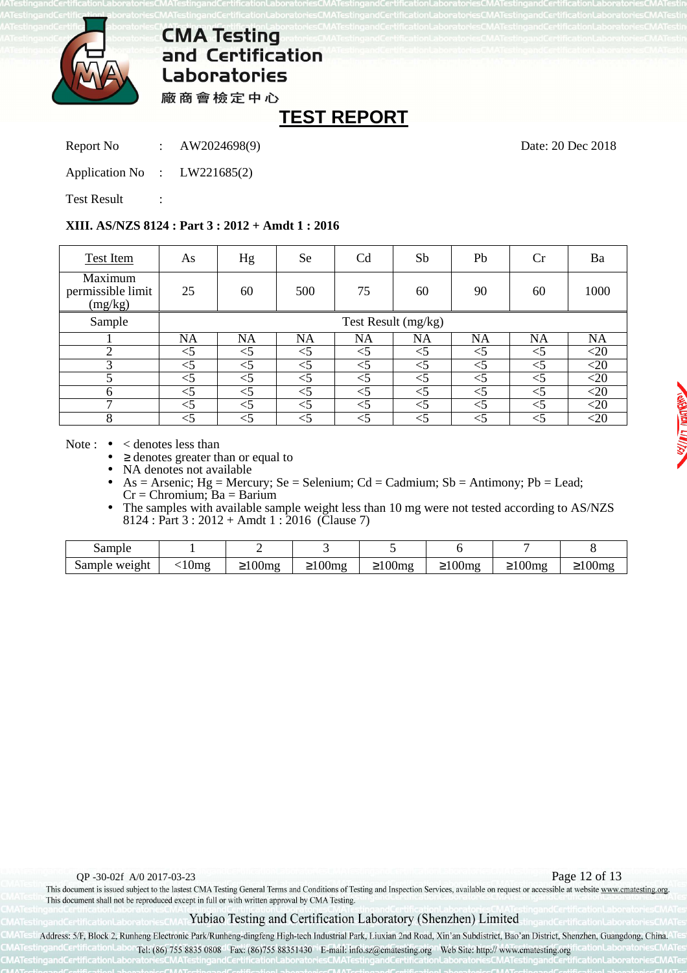

廠商會檢定中心

## **TEST REPORT**

Report No : AW2024698(9) Date: 20 Dec 2018

Application No : LW221685(2)

Test Result

## **XIII. AS/NZS 8124 : Part 3 : 2012 + Amdt 1 : 2016**

| Test Item                               | As       | Hg                  | <b>Se</b> | C <sub>d</sub> | Sb       | Pb        | Cr        | Ba        |  |  |
|-----------------------------------------|----------|---------------------|-----------|----------------|----------|-----------|-----------|-----------|--|--|
| Maximum<br>permissible limit<br>(mg/kg) | 25       | 60                  | 500       | 75             | 60       | 90        | 60        | 1000      |  |  |
| Sample                                  |          | Test Result (mg/kg) |           |                |          |           |           |           |  |  |
|                                         | NA       | NA                  | <b>NA</b> | NA             | NA       | <b>NA</b> | <b>NA</b> | <b>NA</b> |  |  |
| ◠                                       | $<$ 5    | <5                  | $<$ 5     | $<$ 5          | $<$ 5    | $<$ 5     | $<$ 5     | $<$ 20    |  |  |
| 3                                       | $<$ 5    | ≤5                  | ${<}5$    | $<$ 5          | $<$ 5    | $<$ 5     | $<$ 5     | $<$ 20    |  |  |
| 5                                       | $<$ 5    | $<$ 5               | $\leq 5$  | $<$ 5          | $<$ 5    | $<$ 5     | $<$ 5     | $<$ 20    |  |  |
| 6                                       | $\leq$ 5 | $<$ 5               | $<$ 5     | $<$ 5          | $<$ 5    | $<$ 5     | $<$ 5     | $<$ 20    |  |  |
| $\mathbf{\tau}$                         | $<$ 5    | $<$ 5               | ${<}5$    | $<$ 5          | $<$ 5    | $<$ 5     | $<$ 5     | ${<}20$   |  |  |
| 8                                       | -5       | <                   | $<$ 5     | $<$ 5          | $\leq 5$ | ≤5        | ${<}5$    | ${<}20$   |  |  |

Note :  $\bullet \leq$  denotes less than

 $\geq$  denotes greater than or equal to

NA denotes not available

 $As = Arsenic$ ;  $Hg = Mercury$ ;  $Se = Selenium$ ;  $Cd = Cadmium$ ;  $Sb = Antimony$ ;  $Pb = Lead$ ;  $Cr =$ Chromium; Ba = Barium

The samples with available sample weight less than 10 mg were not tested according to AS/NZS 8124 : Part  $3:2012 +$  Amdt  $1:2016$  (Clause 7)

| 0.1223<br>әап    |        |                                  |                            |                             |                                 |                                                                    |                                        |
|------------------|--------|----------------------------------|----------------------------|-----------------------------|---------------------------------|--------------------------------------------------------------------|----------------------------------------|
| sample<br>weight | $\sim$ | $\Omega$<br>.<br>1 I V<br>$-100$ | $\Omega$<br>lm o<br>$-100$ | $\Omega$<br>Umg<br>— 1<br>◡ | $\Omega$<br>- 4<br>$\sim$<br>-- | $\Omega$<br>TN.<br>$\cdot$ $\circ$ $\circ$ $\cdot$ $\cdot$ $\cdot$ | $\sqrt{2}$<br>$-1$ $0$ $0$ $1$ $1$ $6$ |

QP -30-02f A/0 2017-03-23<br>This document is issued subject to the lastest CMA Testing General Terms and Conditions of Testing and Inspection Services, available on request or accessible at website www.cmatesting.org. This document shall not be reproduced except in full or with written approval by CMA Testing.

## Yubiao Testing and Certification Laboratory (Shenzhen) Limited